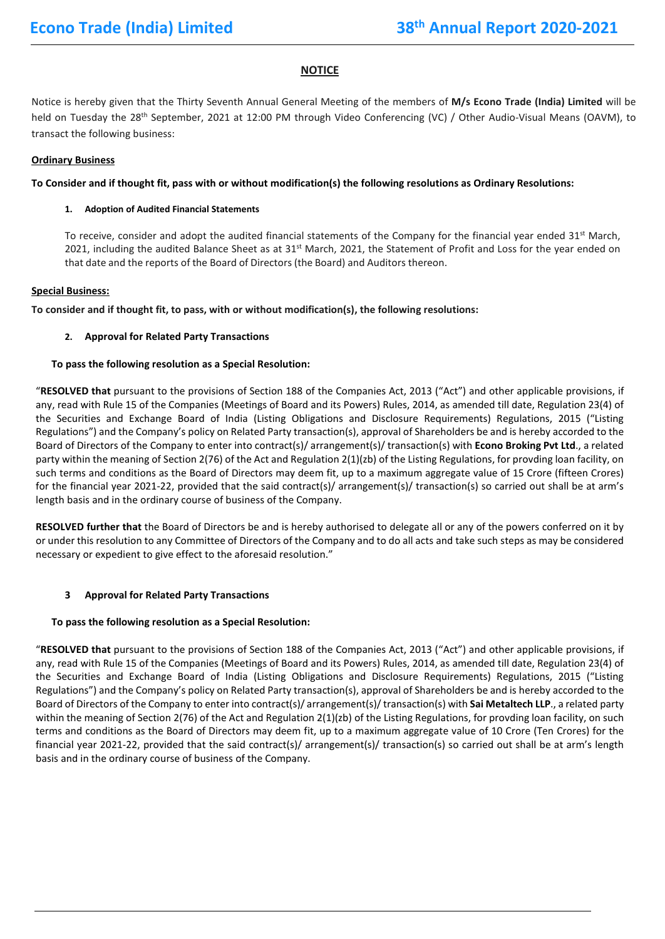### **NOTICE**

Notice is hereby given that the Thirty Seventh Annual General Meeting of the members of **M/s Econo Trade (India) Limited** will be held on Tuesday the 28<sup>th</sup> September, 2021 at 12:00 PM through Video Conferencing (VC) / Other Audio-Visual Means (OAVM), to transact the following business:

#### **Ordinary Business**

#### **To Consider and if thought fit, pass with or without modification(s) the following resolutions as Ordinary Resolutions:**

#### **1. Adoption of Audited Financial Statements**

To receive, consider and adopt the audited financial statements of the Company for the financial year ended  $31<sup>st</sup>$  March, 2021, including the audited Balance Sheet as at  $31<sup>st</sup>$  March, 2021, the Statement of Profit and Loss for the year ended on that date and the reports of the Board of Directors (the Board) and Auditors thereon.

#### **Special Business:**

**To consider and if thought fit, to pass, with or without modification(s), the following resolutions:**

#### **2. Approval for Related Party Transactions**

#### **To pass the following resolution as a Special Resolution:**

"**RESOLVED that** pursuant to the provisions of Section 188 of the Companies Act, 2013 ("Act") and other applicable provisions, if any, read with Rule 15 of the Companies (Meetings of Board and its Powers) Rules, 2014, as amended till date, Regulation 23(4) of the Securities and Exchange Board of India (Listing Obligations and Disclosure Requirements) Regulations, 2015 ("Listing Regulations") and the Company's policy on Related Party transaction(s), approval of Shareholders be and is hereby accorded to the Board of Directors of the Company to enter into contract(s)/ arrangement(s)/ transaction(s) with **Econo Broking Pvt Ltd**., a related party within the meaning of Section 2(76) of the Act and Regulation 2(1)(zb) of the Listing Regulations, for provding loan facility, on such terms and conditions as the Board of Directors may deem fit, up to a maximum aggregate value of 15 Crore (fifteen Crores) for the financial year 2021-22, provided that the said contract(s)/ arrangement(s)/ transaction(s) so carried out shall be at arm's length basis and in the ordinary course of business of the Company.

**RESOLVED further that** the Board of Directors be and is hereby authorised to delegate all or any of the powers conferred on it by or under this resolution to any Committee of Directors of the Company and to do all acts and take such steps as may be considered necessary or expedient to give effect to the aforesaid resolution."

#### **3 Approval for Related Party Transactions**

#### **To pass the following resolution as a Special Resolution:**

"**RESOLVED that** pursuant to the provisions of Section 188 of the Companies Act, 2013 ("Act") and other applicable provisions, if any, read with Rule 15 of the Companies (Meetings of Board and its Powers) Rules, 2014, as amended till date, Regulation 23(4) of the Securities and Exchange Board of India (Listing Obligations and Disclosure Requirements) Regulations, 2015 ("Listing Regulations") and the Company's policy on Related Party transaction(s), approval of Shareholders be and is hereby accorded to the Board of Directors of the Company to enter into contract(s)/ arrangement(s)/ transaction(s) with **Sai Metaltech LLP**., a related party within the meaning of Section 2(76) of the Act and Regulation 2(1)(zb) of the Listing Regulations, for provding loan facility, on such terms and conditions as the Board of Directors may deem fit, up to a maximum aggregate value of 10 Crore (Ten Crores) for the financial year 2021-22, provided that the said contract(s)/ arrangement(s)/ transaction(s) so carried out shall be at arm's length basis and in the ordinary course of business of the Company.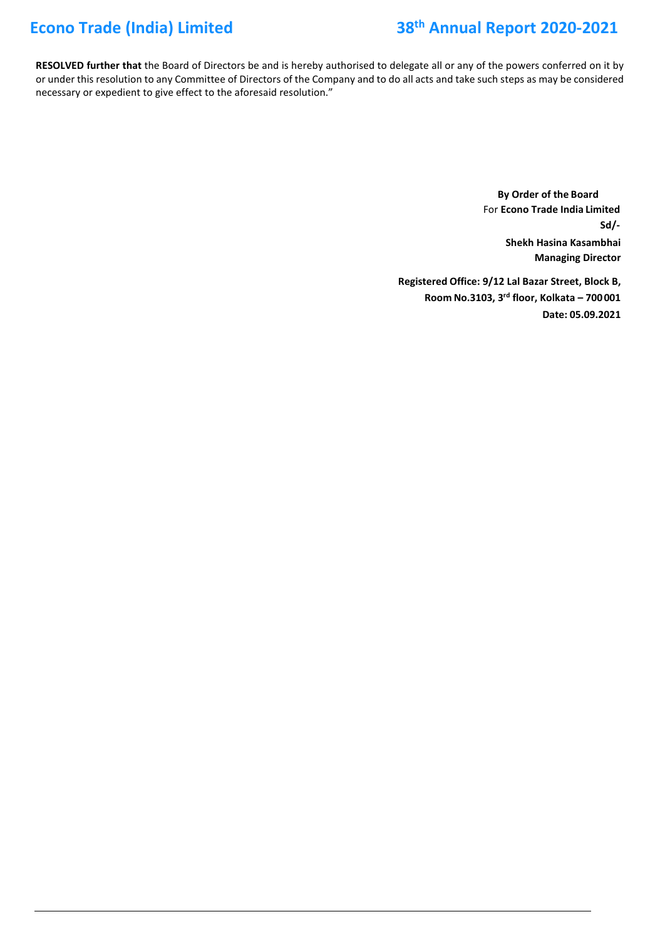# **Econo Trade (India) Limited 38th Annual Report 2020-2021**

**RESOLVED further that** the Board of Directors be and is hereby authorised to delegate all or any of the powers conferred on it by or under this resolution to any Committee of Directors of the Company and to do all acts and take such steps as may be considered necessary or expedient to give effect to the aforesaid resolution."

> **By Order of the Board** For **Econo Trade India Limited Shekh Hasina Kasambhai Managing Director Sd/-**

**Registered Office: 9/12 Lal Bazar Street, Block B, Room No.3103, 3 rd floor, Kolkata – 700001 Date: 05.09.2021**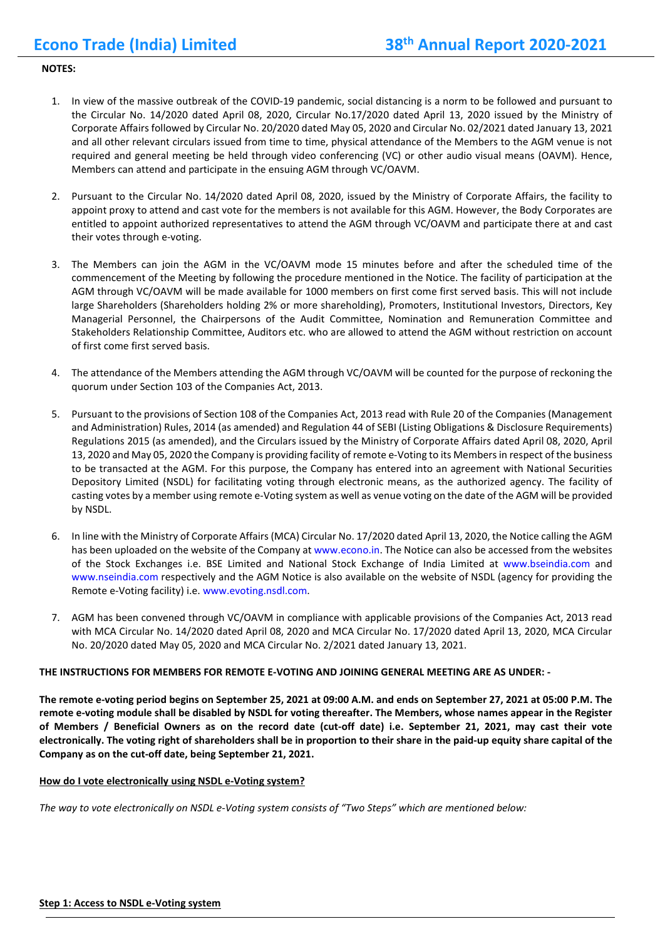#### **NOTES:**

- 1. In view of the massive outbreak of the COVID-19 pandemic, social distancing is a norm to be followed and pursuant to the Circular No. 14/2020 dated April 08, 2020, Circular No.17/2020 dated April 13, 2020 issued by the Ministry of Corporate Affairs followed by Circular No. 20/2020 dated May 05, 2020 and Circular No. 02/2021 dated January 13, 2021 and all other relevant circulars issued from time to time, physical attendance of the Members to the AGM venue is not required and general meeting be held through video conferencing (VC) or other audio visual means (OAVM). Hence, Members can attend and participate in the ensuing AGM through VC/OAVM.
- 2. Pursuant to the Circular No. 14/2020 dated April 08, 2020, issued by the Ministry of Corporate Affairs, the facility to appoint proxy to attend and cast vote for the members is not available for this AGM. However, the Body Corporates are entitled to appoint authorized representatives to attend the AGM through VC/OAVM and participate there at and cast their votes through e-voting.
- 3. The Members can join the AGM in the VC/OAVM mode 15 minutes before and after the scheduled time of the commencement of the Meeting by following the procedure mentioned in the Notice. The facility of participation at the AGM through VC/OAVM will be made available for 1000 members on first come first served basis. This will not include large Shareholders (Shareholders holding 2% or more shareholding), Promoters, Institutional Investors, Directors, Key Managerial Personnel, the Chairpersons of the Audit Committee, Nomination and Remuneration Committee and Stakeholders Relationship Committee, Auditors etc. who are allowed to attend the AGM without restriction on account of first come first served basis.
- 4. The attendance of the Members attending the AGM through VC/OAVM will be counted for the purpose of reckoning the quorum under Section 103 of the Companies Act, 2013.
- 5. Pursuant to the provisions of Section 108 of the Companies Act, 2013 read with Rule 20 of the Companies (Management and Administration) Rules, 2014 (as amended) and Regulation 44 of SEBI (Listing Obligations & Disclosure Requirements) Regulations 2015 (as amended), and the Circulars issued by the Ministry of Corporate Affairs dated April 08, 2020, April 13, 2020 and May 05, 2020 the Company is providing facility of remote e-Voting to its Members in respect of the business to be transacted at the AGM. For this purpose, the Company has entered into an agreement with National Securities Depository Limited (NSDL) for facilitating voting through electronic means, as the authorized agency. The facility of casting votes by a member using remote e-Voting system as well as venue voting on the date of the AGM will be provided by NSDL.
- 6. In line with the Ministry of Corporate Affairs (MCA) Circular No. 17/2020 dated April 13, 2020, the Notice calling the AGM has been uploaded on the website of the Company at www.econo.in. The Notice can also be accessed from the websites of the Stock Exchanges i.e. BSE Limited and National Stock Exchange of India Limited at www.bseindia.com and www.nseindia.com respectively and the AGM Notice is also available on the website of NSDL (agency for providing the Remote e-Voting facility) i.e. www.evoting.nsdl.com.
- 7. AGM has been convened through VC/OAVM in compliance with applicable provisions of the Companies Act, 2013 read with MCA Circular No. 14/2020 dated April 08, 2020 and MCA Circular No. 17/2020 dated April 13, 2020, MCA Circular No. 20/2020 dated May 05, 2020 and MCA Circular No. 2/2021 dated January 13, 2021.

#### **THE INSTRUCTIONS FOR MEMBERS FOR REMOTE E-VOTING AND JOINING GENERAL MEETING ARE AS UNDER: -**

**The remote e-voting period begins on September 25, 2021 at 09:00 A.M. and ends on September 27, 2021 at 05:00 P.M. The remote e-voting module shall be disabled by NSDL for voting thereafter. The Members, whose names appear in the Register of Members / Beneficial Owners as on the record date (cut-off date) i.e. September 21, 2021, may cast their vote electronically. The voting right of shareholders shall be in proportion to their share in the paid-up equity share capital of the Company as on the cut-off date, being September 21, 2021.**

#### **How do I vote electronically using NSDL e-Voting system?**

*The way to vote electronically on NSDL e-Voting system consists of "Two Steps" which are mentioned below:*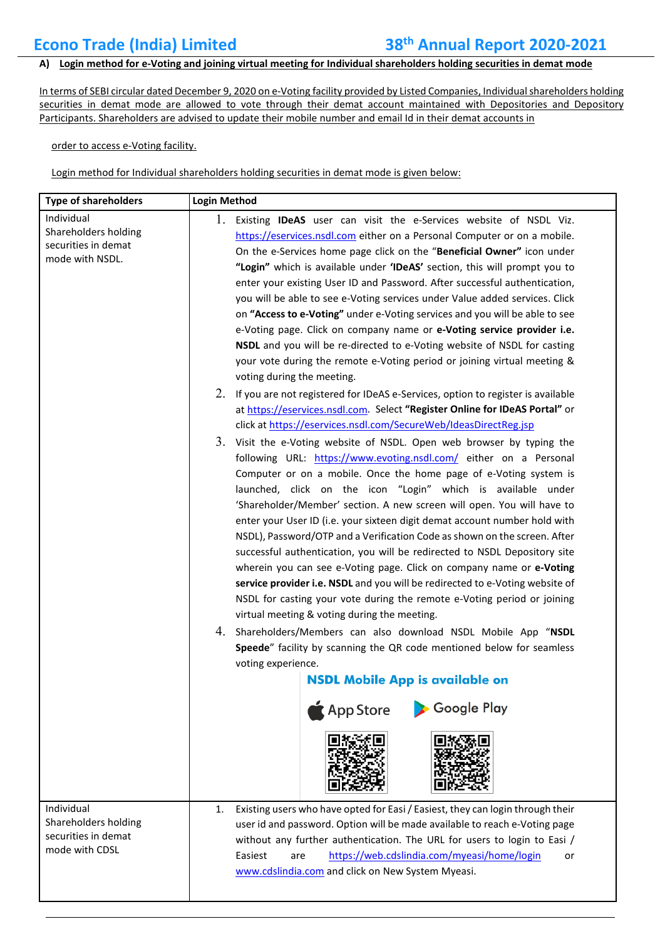### **A) Login method for e-Voting and joining virtual meeting for Individual shareholders holding securities in demat mode**

In terms of SEBI circular dated December 9, 2020 on e-Voting facility provided by Listed Companies, Individual shareholders holding securities in demat mode are allowed to vote through their demat account maintained with Depositories and Depository Participants. Shareholders are advised to update their mobile number and email Id in their demat accounts in

order to access e-Voting facility.

Login method for Individual shareholders holding securities in demat mode is given below:

| <b>Type of shareholders</b>                                                  | <b>Login Method</b>                                                                                                                                                                                                                                                                                                                                                                                                                                                                                                                                                                                                                                                                                                                                                                                                                                                                                                                                                                                                                                                                                                                                                                                                                                                                                                                                                          |  |
|------------------------------------------------------------------------------|------------------------------------------------------------------------------------------------------------------------------------------------------------------------------------------------------------------------------------------------------------------------------------------------------------------------------------------------------------------------------------------------------------------------------------------------------------------------------------------------------------------------------------------------------------------------------------------------------------------------------------------------------------------------------------------------------------------------------------------------------------------------------------------------------------------------------------------------------------------------------------------------------------------------------------------------------------------------------------------------------------------------------------------------------------------------------------------------------------------------------------------------------------------------------------------------------------------------------------------------------------------------------------------------------------------------------------------------------------------------------|--|
| Individual<br>Shareholders holding<br>securities in demat<br>mode with NSDL. | 1. Existing IDeAS user can visit the e-Services website of NSDL Viz.<br>https://eservices.nsdl.com either on a Personal Computer or on a mobile.<br>On the e-Services home page click on the "Beneficial Owner" icon under<br>"Login" which is available under 'IDeAS' section, this will prompt you to<br>enter your existing User ID and Password. After successful authentication,<br>you will be able to see e-Voting services under Value added services. Click<br>on "Access to e-Voting" under e-Voting services and you will be able to see<br>e-Voting page. Click on company name or e-Voting service provider i.e.<br>NSDL and you will be re-directed to e-Voting website of NSDL for casting<br>your vote during the remote e-Voting period or joining virtual meeting &<br>voting during the meeting.                                                                                                                                                                                                                                                                                                                                                                                                                                                                                                                                                          |  |
|                                                                              | 2. If you are not registered for IDeAS e-Services, option to register is available<br>at https://eservices.nsdl.com. Select "Register Online for IDeAS Portal" or<br>click at https://eservices.nsdl.com/SecureWeb/IdeasDirectReg.jsp<br>3. Visit the e-Voting website of NSDL. Open web browser by typing the<br>following URL: https://www.evoting.nsdl.com/ either on a Personal<br>Computer or on a mobile. Once the home page of e-Voting system is<br>launched, click on the icon "Login" which is available under<br>'Shareholder/Member' section. A new screen will open. You will have to<br>enter your User ID (i.e. your sixteen digit demat account number hold with<br>NSDL), Password/OTP and a Verification Code as shown on the screen. After<br>successful authentication, you will be redirected to NSDL Depository site<br>wherein you can see e-Voting page. Click on company name or e-Voting<br>service provider i.e. NSDL and you will be redirected to e-Voting website of<br>NSDL for casting your vote during the remote e-Voting period or joining<br>virtual meeting & voting during the meeting.<br>4. Shareholders/Members can also download NSDL Mobile App "NSDL<br>Speede" facility by scanning the QR code mentioned below for seamless<br>voting experience.<br><b>NSDL Mobile App is available on</b><br>Google Play<br><b>App Store</b> |  |
| Individual<br>Shareholders holding<br>securities in demat<br>mode with CDSL  | Existing users who have opted for Easi / Easiest, they can login through their<br>1.<br>user id and password. Option will be made available to reach e-Voting page<br>without any further authentication. The URL for users to login to Easi /<br>Easiest<br>https://web.cdslindia.com/myeasi/home/login<br>are<br>or<br>www.cdslindia.com and click on New System Myeasi.                                                                                                                                                                                                                                                                                                                                                                                                                                                                                                                                                                                                                                                                                                                                                                                                                                                                                                                                                                                                   |  |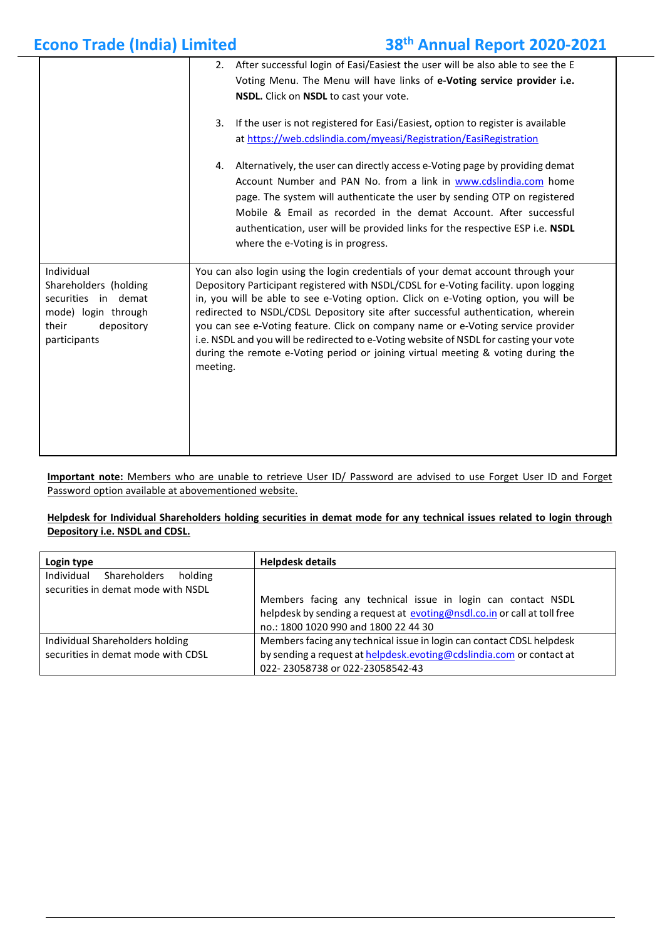| <b>Econo Trade (India) Limited</b>                                                                                       |                                                                                                                                                                                                                                                                                                                                                                                                                                                                                                                                                                                                                                   | 38th Annual Report 2020-2021                                                                                                                                                                                                                                                                                                                                                                                            |
|--------------------------------------------------------------------------------------------------------------------------|-----------------------------------------------------------------------------------------------------------------------------------------------------------------------------------------------------------------------------------------------------------------------------------------------------------------------------------------------------------------------------------------------------------------------------------------------------------------------------------------------------------------------------------------------------------------------------------------------------------------------------------|-------------------------------------------------------------------------------------------------------------------------------------------------------------------------------------------------------------------------------------------------------------------------------------------------------------------------------------------------------------------------------------------------------------------------|
|                                                                                                                          |                                                                                                                                                                                                                                                                                                                                                                                                                                                                                                                                                                                                                                   | 2. After successful login of Easi/Easiest the user will be also able to see the E<br>Voting Menu. The Menu will have links of e-Voting service provider i.e.<br>NSDL. Click on NSDL to cast your vote.                                                                                                                                                                                                                  |
|                                                                                                                          | 3.                                                                                                                                                                                                                                                                                                                                                                                                                                                                                                                                                                                                                                | If the user is not registered for Easi/Easiest, option to register is available<br>at https://web.cdslindia.com/myeasi/Registration/EasiRegistration                                                                                                                                                                                                                                                                    |
|                                                                                                                          | 4.                                                                                                                                                                                                                                                                                                                                                                                                                                                                                                                                                                                                                                | Alternatively, the user can directly access e-Voting page by providing demat<br>Account Number and PAN No. from a link in www.cdslindia.com home<br>page. The system will authenticate the user by sending OTP on registered<br>Mobile & Email as recorded in the demat Account. After successful<br>authentication, user will be provided links for the respective ESP i.e. NSDL<br>where the e-Voting is in progress. |
| Individual<br>Shareholders (holding<br>securities in demat<br>mode) login through<br>their<br>depository<br>participants | You can also login using the login credentials of your demat account through your<br>Depository Participant registered with NSDL/CDSL for e-Voting facility. upon logging<br>in, you will be able to see e-Voting option. Click on e-Voting option, you will be<br>redirected to NSDL/CDSL Depository site after successful authentication, wherein<br>you can see e-Voting feature. Click on company name or e-Voting service provider<br>i.e. NSDL and you will be redirected to e-Voting website of NSDL for casting your vote<br>during the remote e-Voting period or joining virtual meeting & voting during the<br>meeting. |                                                                                                                                                                                                                                                                                                                                                                                                                         |

**Important note:** Members who are unable to retrieve User ID/ Password are advised to use Forget User ID and Forget Password option available at abovementioned website.

#### **Helpdesk for Individual Shareholders holding securities in demat mode for any technical issues related to login through Depository i.e. NSDL and CDSL.**

| Login type                                                                  | <b>Helpdesk details</b>                                                                                                                                                          |
|-----------------------------------------------------------------------------|----------------------------------------------------------------------------------------------------------------------------------------------------------------------------------|
| Individual<br>Shareholders<br>holding<br>securities in demat mode with NSDL | Members facing any technical issue in login can contact NSDL<br>helpdesk by sending a request at evoting@nsdl.co.in or call at toll free<br>no.: 1800 1020 990 and 1800 22 44 30 |
| Individual Shareholders holding<br>securities in demat mode with CDSL       | Members facing any technical issue in login can contact CDSL helpdesk<br>by sending a request at helpdesk.evoting@cdslindia.com or contact at<br>022-23058738 or 022-23058542-43 |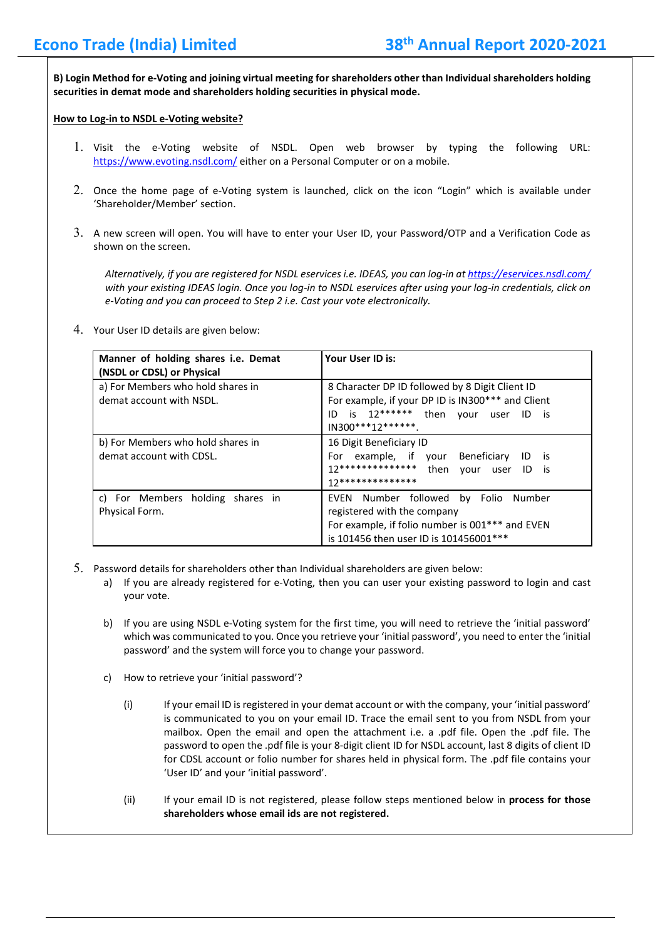**B) Login Method for e-Voting and joining virtual meeting for shareholders other than Individual shareholders holding securities in demat mode and shareholders holding securities in physical mode.**

#### **How to Log-in to NSDL e-Voting website?**

- 1. Visit the e-Voting website of NSDL. Open web browser by typing the following URL: <https://www.evoting.nsdl.com/> either on a Personal Computer or on a mobile.
- 2. Once the home page of e-Voting system is launched, click on the icon "Login" which is available under 'Shareholder/Member' section.
- 3. A new screen will open. You will have to enter your User ID, your Password/OTP and a Verification Code as shown on the screen.

*Alternatively, if you are registered for NSDL eservices i.e. IDEAS, you can log-in a[t https://eservices.nsdl.com/](https://eservices.nsdl.com/) with your existing IDEAS login. Once you log-in to NSDL eservices after using your log-in credentials, click on e-Voting and you can proceed to Step 2 i.e. Cast your vote electronically.*

4. Your User ID details are given below:

| Manner of holding shares <i>i.e.</i> Demat<br>(NSDL or CDSL) or Physical | Your User ID is:                                                                                                                                                                     |
|--------------------------------------------------------------------------|--------------------------------------------------------------------------------------------------------------------------------------------------------------------------------------|
| a) For Members who hold shares in<br>demat account with NSDL.            | 8 Character DP ID followed by 8 Digit Client ID<br>For example, if your DP ID is IN300*** and Client<br>ID is $12******$<br>then<br>vour<br>user<br>ID<br>is is<br>IN300***12******* |
| b) For Members who hold shares in<br>demat account with CDSL.            | 16 Digit Beneficiary ID<br>example, if your Beneficiary<br>For<br>ID<br>- is<br>$12*********************$<br>then<br>vour<br>user<br>ID is<br>17**************                       |
| c) For Members holding shares in<br>Physical Form.                       | EVEN Number followed by Folio Number<br>registered with the company<br>For example, if folio number is 001*** and EVEN<br>is 101456 then user ID is 101456001 ***                    |

- 5. Password details for shareholders other than Individual shareholders are given below:
	- a) If you are already registered for e-Voting, then you can user your existing password to login and cast your vote.
	- b) If you are using NSDL e-Voting system for the first time, you will need to retrieve the 'initial password' which was communicated to you. Once you retrieve your 'initial password', you need to enter the 'initial password' and the system will force you to change your password.
	- c) How to retrieve your 'initial password'?
		- (i) If your email ID is registered in your demat account or with the company, your 'initial password' is communicated to you on your email ID. Trace the email sent to you from NSDL from your mailbox. Open the email and open the attachment i.e. a .pdf file. Open the .pdf file. The password to open the .pdf file is your 8-digit client ID for NSDL account, last 8 digits of client ID for CDSL account or folio number for shares held in physical form. The .pdf file contains your 'User ID' and your 'initial password'.
		- (ii) If your email ID is not registered, please follow steps mentioned below in **process for those shareholders whose email ids are not registered.**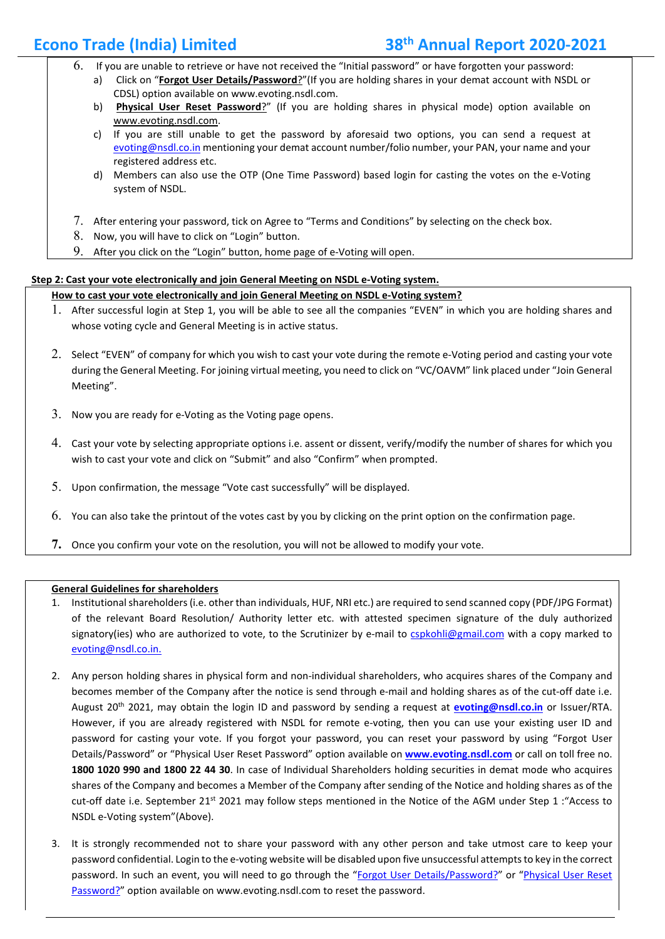- 6. If you are unable to retrieve or have not received the "Initial password" or have forgotten your password:
	- a) Click on "**[Forgot User Details/Password](https://www.evoting.nsdl.com/eVotingWeb/commonhtmls/NewUser.jsp)**?"(If you are holding shares in your demat account with NSDL or CDSL) option available on www.evoting.nsdl.com.
	- b) **Physical [User Reset Password](https://www.evoting.nsdl.com/eVotingWeb/commonhtmls/PhysicalUser.jsp)**?" (If you are holding shares in physical mode) option available on [www.evoting.nsdl.com.](http://www.evoting.nsdl.com/)
	- c) If you are still unable to get the password by aforesaid two options, you can send a request at [evoting@nsdl.co.in](mailto:evoting@nsdl.co.in) mentioning your demat account number/folio number, your PAN, your name and your registered address etc.
	- d) Members can also use the OTP (One Time Password) based login for casting the votes on the e-Voting system of NSDL.
- 7. After entering your password, tick on Agree to "Terms and Conditions" by selecting on the check box.
- 8. Now, you will have to click on "Login" button.
- 9. After you click on the "Login" button, home page of e-Voting will open.

### **Step 2: Cast your vote electronically and join General Meeting on NSDL e-Voting system.**

#### **How to cast your vote electronically and join General Meeting on NSDL e-Voting system?**

- 1. After successful login at Step 1, you will be able to see all the companies "EVEN" in which you are holding shares and whose voting cycle and General Meeting is in active status.
- 2. Select "EVEN" of company for which you wish to cast your vote during the remote e-Voting period and casting your vote during the General Meeting. For joining virtual meeting, you need to click on "VC/OAVM" link placed under "Join General Meeting".
- 3. Now you are ready for e-Voting as the Voting page opens.
- 4. Cast your vote by selecting appropriate options i.e. assent or dissent, verify/modify the number of shares for which you wish to cast your vote and click on "Submit" and also "Confirm" when prompted.
- 5. Upon confirmation, the message "Vote cast successfully" will be displayed.
- 6. You can also take the printout of the votes cast by you by clicking on the print option on the confirmation page.
- **7.** Once you confirm your vote on the resolution, you will not be allowed to modify your vote.

#### **General Guidelines for shareholders**

- 1. Institutional shareholders (i.e. other than individuals, HUF, NRI etc.) are required to send scanned copy (PDF/JPG Format) of the relevant Board Resolution/ Authority letter etc. with attested specimen signature of the duly authorized signatory(ies) who are authorized to vote, to the Scrutinizer by e-mail to [cspkohli@gmail.com](mailto:cspkohli@gmail.com) with a copy marked to [evoting@nsdl.co.in.](mailto:evoting@nsdl.co.in)
- 2. Any person holding shares in physical form and non-individual shareholders, who acquires shares of the Company and becomes member of the Company after the notice is send through e-mail and holding shares as of the cut-off date i.e. August 20th 2021, may obtain the login ID and password by sending a request at **[evoting@nsdl.co.in](mailto:evoting@nsdl.co.in)** or Issuer/RTA. However, if you are already registered with NSDL for remote e-voting, then you can use your existing user ID and password for casting your vote. If you forgot your password, you can reset your password by using "Forgot User Details/Password" or "Physical User Reset Password" option available on **[www.evoting.nsdl.com](http://www.evoting.nsdl.com/)** or call on toll free no. **1800 1020 990 and 1800 22 44 30**. In case of Individual Shareholders holding securities in demat mode who acquires shares of the Company and becomes a Member of the Company after sending of the Notice and holding shares as of the cut-off date i.e. September 21<sup>st</sup> 2021 may follow steps mentioned in the Notice of the AGM under Step 1 : "Access to NSDL e-Voting system"(Above).
- 3. It is strongly recommended not to share your password with any other person and take utmost care to keep your password confidential. Login to the e-voting website will be disabled upon five unsuccessful attempts to key in the correct password. In such an event, you will need to go through the ["Forgot User Details/Password?"](https://www.evoting.nsdl.com/eVotingWeb/commonhtmls/NewUser.jsp) or "Physical User Reset [Password?"](https://www.evoting.nsdl.com/eVotingWeb/commonhtmls/PhysicalUser.jsp) option available on www.evoting.nsdl.com to reset the password.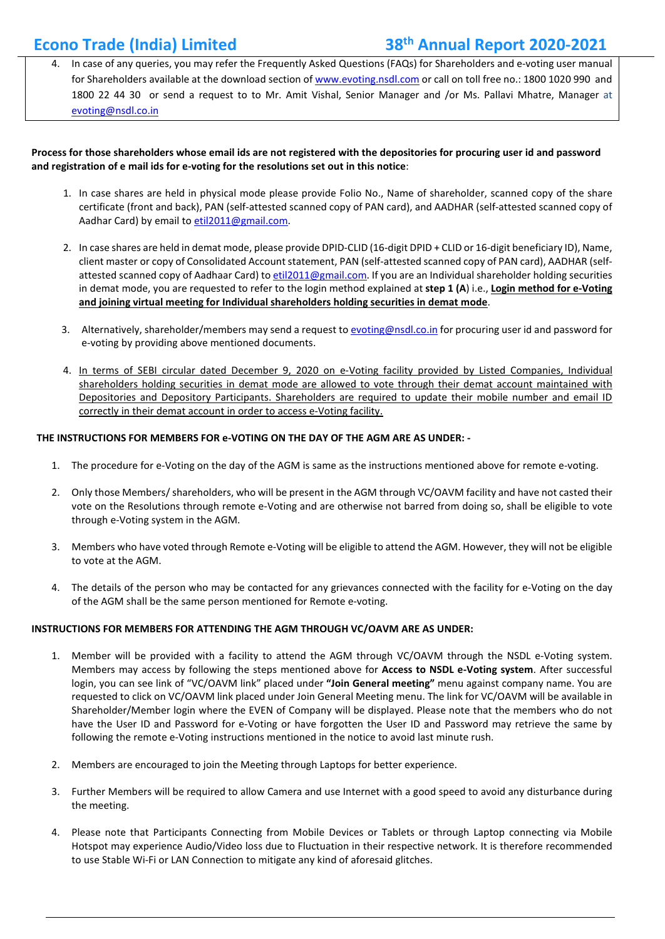## **Econo Trade (India) Limited 38th Annual Report 2020-2021**

4. In case of any queries, you may refer the Frequently Asked Questions (FAQs) for Shareholders and e-voting user manual for Shareholders available at the download section of [www.evoting.nsdl.com](http://www.evoting.nsdl.com/) or call on toll free no.: 1800 1020 990 and 1800 22 44 30 or send a request to to Mr. Amit Vishal, Senior Manager and /or Ms. Pallavi Mhatre, Manager at [evoting@nsdl.co.in](mailto:evoting@nsdl.co.in)

#### **Process for those shareholders whose email ids are not registered with the depositories for procuring user id and password and registration of e mail ids for e-voting for the resolutions set out in this notice**:

- 1. In case shares are held in physical mode please provide Folio No., Name of shareholder, scanned copy of the share certificate (front and back), PAN (self-attested scanned copy of PAN card), and AADHAR (self-attested scanned copy of Aadhar Card) by email to [etil2011@gmail.com.](mailto:etil2011@gmail.com)
- 2. In case shares are held in demat mode, please provide DPID-CLID (16-digit DPID + CLID or 16-digit beneficiary ID), Name, client master or copy of Consolidated Account statement, PAN (self-attested scanned copy of PAN card), AADHAR (selfattested scanned copy of Aadhaar Card) to [etil2011@gmail.com.](mailto:etil2011@gmail.com) If you are an Individual shareholder holding securities in demat mode, you are requested to refer to the login method explained at **step 1 (A**) i.e., **Login method for e-Voting and joining virtual meeting for Individual shareholders holding securities in demat mode**.
- 3. Alternatively, shareholder/members may send a request to [evoting@nsdl.co.in](mailto:evoting@nsdl.co.in) for procuring user id and password for e-voting by providing above mentioned documents.
- 4. In terms of SEBI circular dated December 9, 2020 on e-Voting facility provided by Listed Companies, Individual shareholders holding securities in demat mode are allowed to vote through their demat account maintained with Depositories and Depository Participants. Shareholders are required to update their mobile number and email ID correctly in their demat account in order to access e-Voting facility.

#### **THE INSTRUCTIONS FOR MEMBERS FOR e-VOTING ON THE DAY OF THE AGM ARE AS UNDER: -**

- 1. The procedure for e-Voting on the day of the AGM is same as the instructions mentioned above for remote e-voting.
- 2. Only those Members/ shareholders, who will be present in the AGM through VC/OAVM facility and have not casted their vote on the Resolutions through remote e-Voting and are otherwise not barred from doing so, shall be eligible to vote through e-Voting system in the AGM.
- 3. Members who have voted through Remote e-Voting will be eligible to attend the AGM. However, they will not be eligible to vote at the AGM.
- 4. The details of the person who may be contacted for any grievances connected with the facility for e-Voting on the day of the AGM shall be the same person mentioned for Remote e-voting.

#### **INSTRUCTIONS FOR MEMBERS FOR ATTENDING THE AGM THROUGH VC/OAVM ARE AS UNDER:**

- 1. Member will be provided with a facility to attend the AGM through VC/OAVM through the NSDL e-Voting system. Members may access by following the steps mentioned above for **Access to NSDL e-Voting system**. After successful login, you can see link of "VC/OAVM link" placed under **"Join General meeting"** menu against company name. You are requested to click on VC/OAVM link placed under Join General Meeting menu. The link for VC/OAVM will be available in Shareholder/Member login where the EVEN of Company will be displayed. Please note that the members who do not have the User ID and Password for e-Voting or have forgotten the User ID and Password may retrieve the same by following the remote e-Voting instructions mentioned in the notice to avoid last minute rush.
- 2. Members are encouraged to join the Meeting through Laptops for better experience.
- 3. Further Members will be required to allow Camera and use Internet with a good speed to avoid any disturbance during the meeting.
- 4. Please note that Participants Connecting from Mobile Devices or Tablets or through Laptop connecting via Mobile Hotspot may experience Audio/Video loss due to Fluctuation in their respective network. It is therefore recommended to use Stable Wi-Fi or LAN Connection to mitigate any kind of aforesaid glitches.